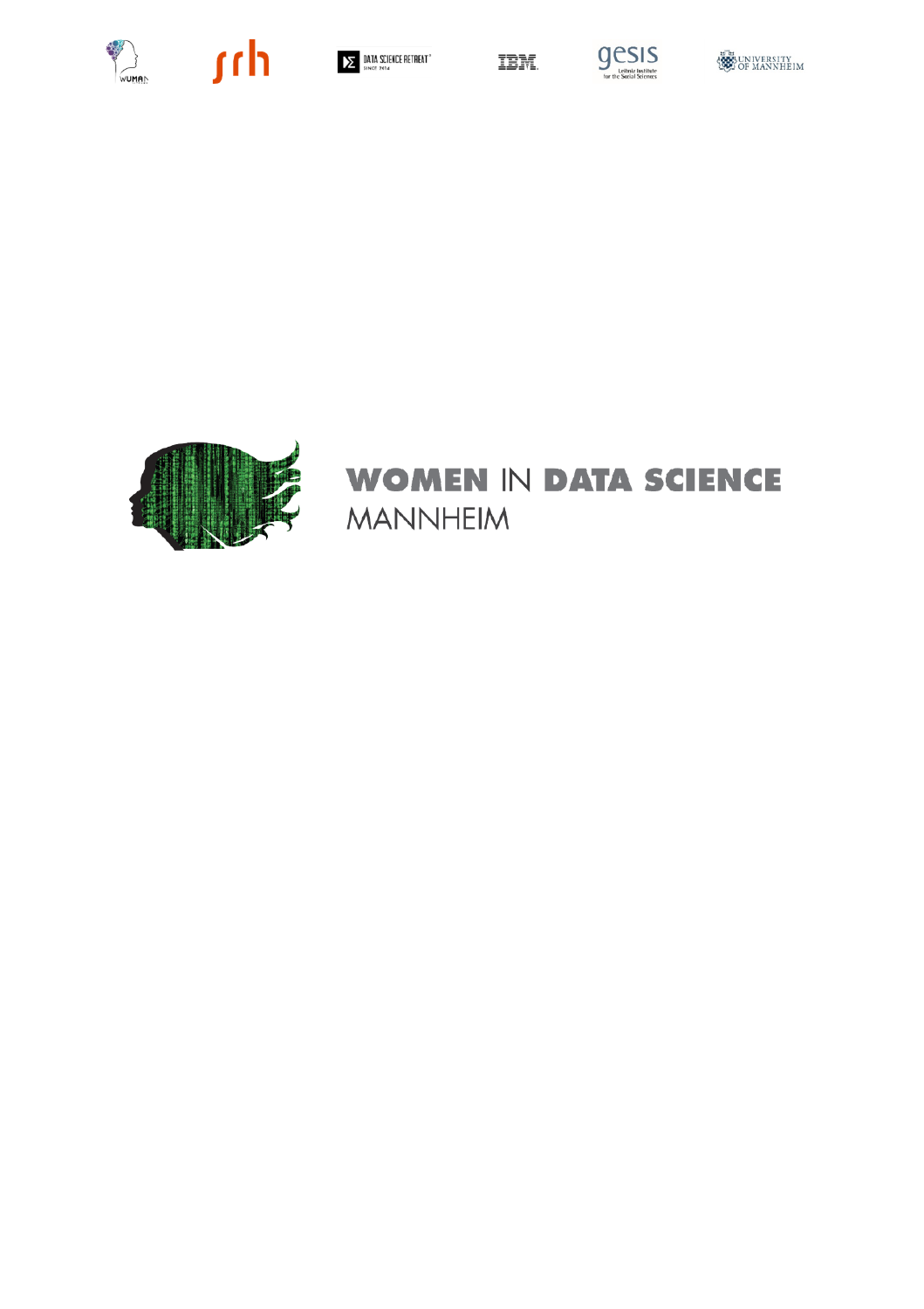









### **WOMEN IN DATA SCIENCE MANNHEIM**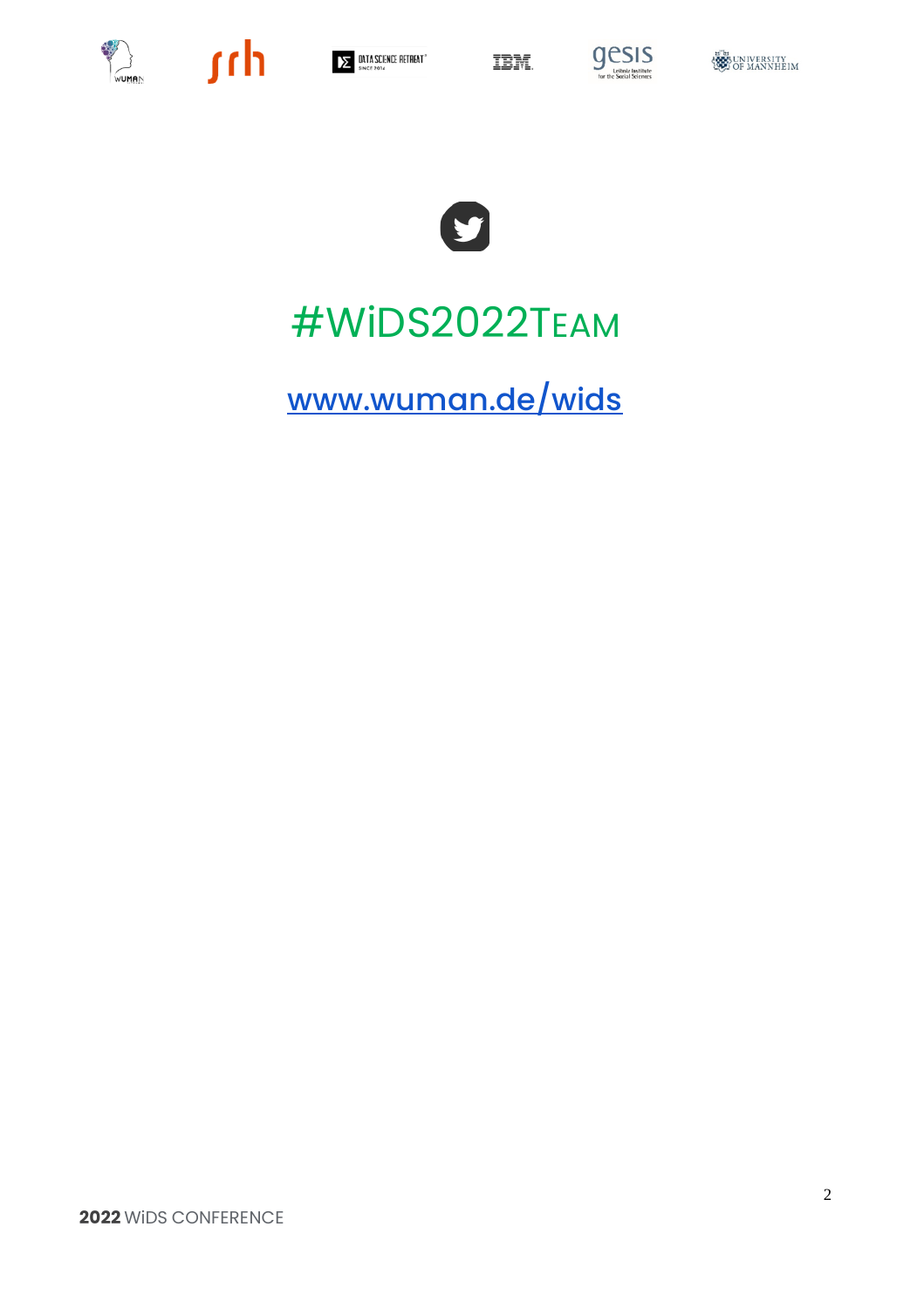











# #WIDS2022TEAM

www.wuman.de/wids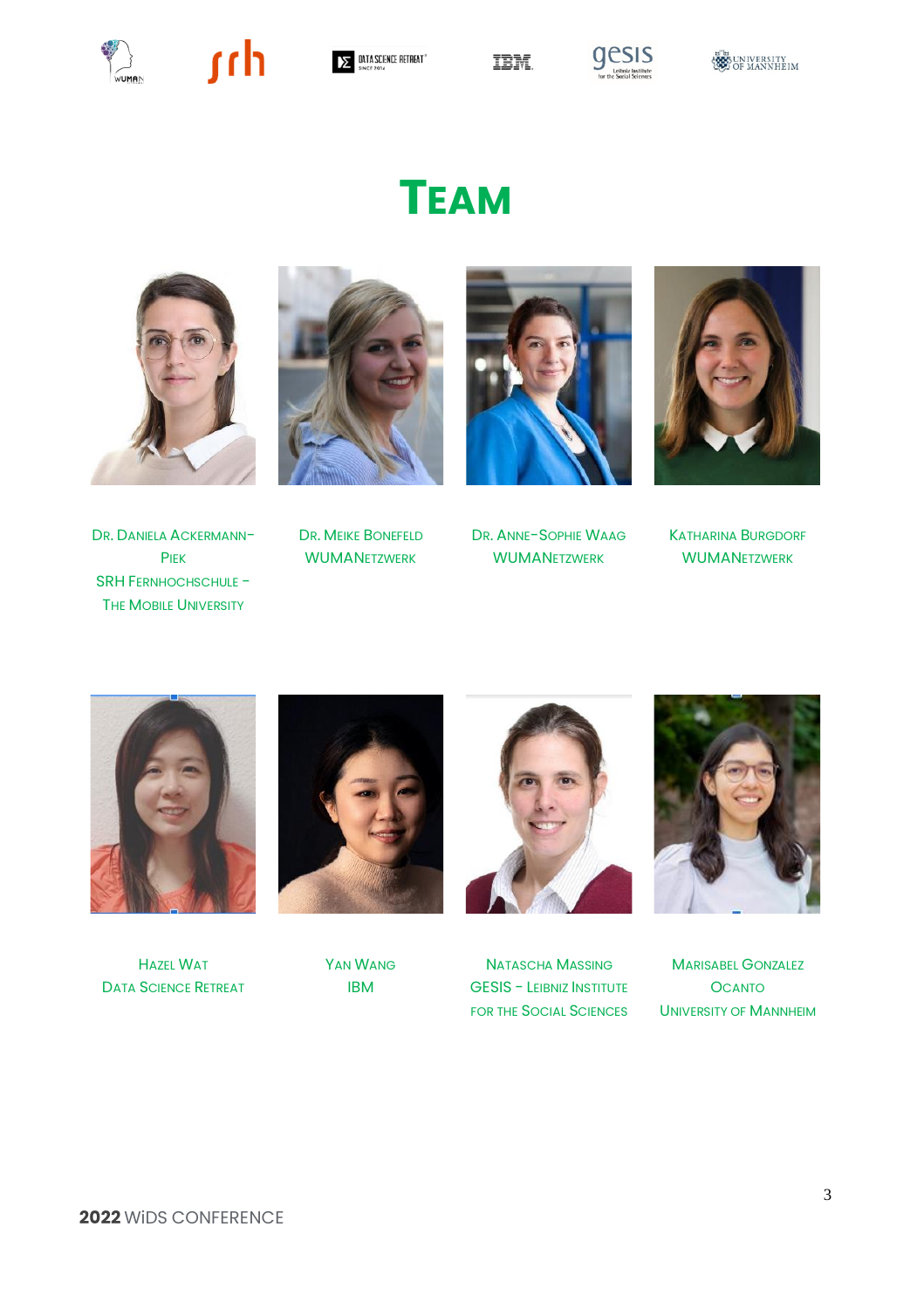

 $\mathbb{R}$  sch







# **TEAM**







DR. DANIELA ACKERMANN-PIEK SRH FERNHOCHSCHULE - THE MOBILE UNIVERSITY

WUMANETZWERK



DR. MEIKE BONEFELD DR. ANNE-SOPHIE WAAG KATHARINA BURGDORF WUMANETZWERK

WUMANETZWERK



HAZEL WAT DATA SCIENCE RETREAT



YAN WANG IBM



NATASCHA MASSING GESIS - LEIBNIZ INSTITUTE FOR THE SOCIAL SCIENCES UNIVERSITY OF MANNHEIM



MARISABEL GONZALEZ **OCANTO**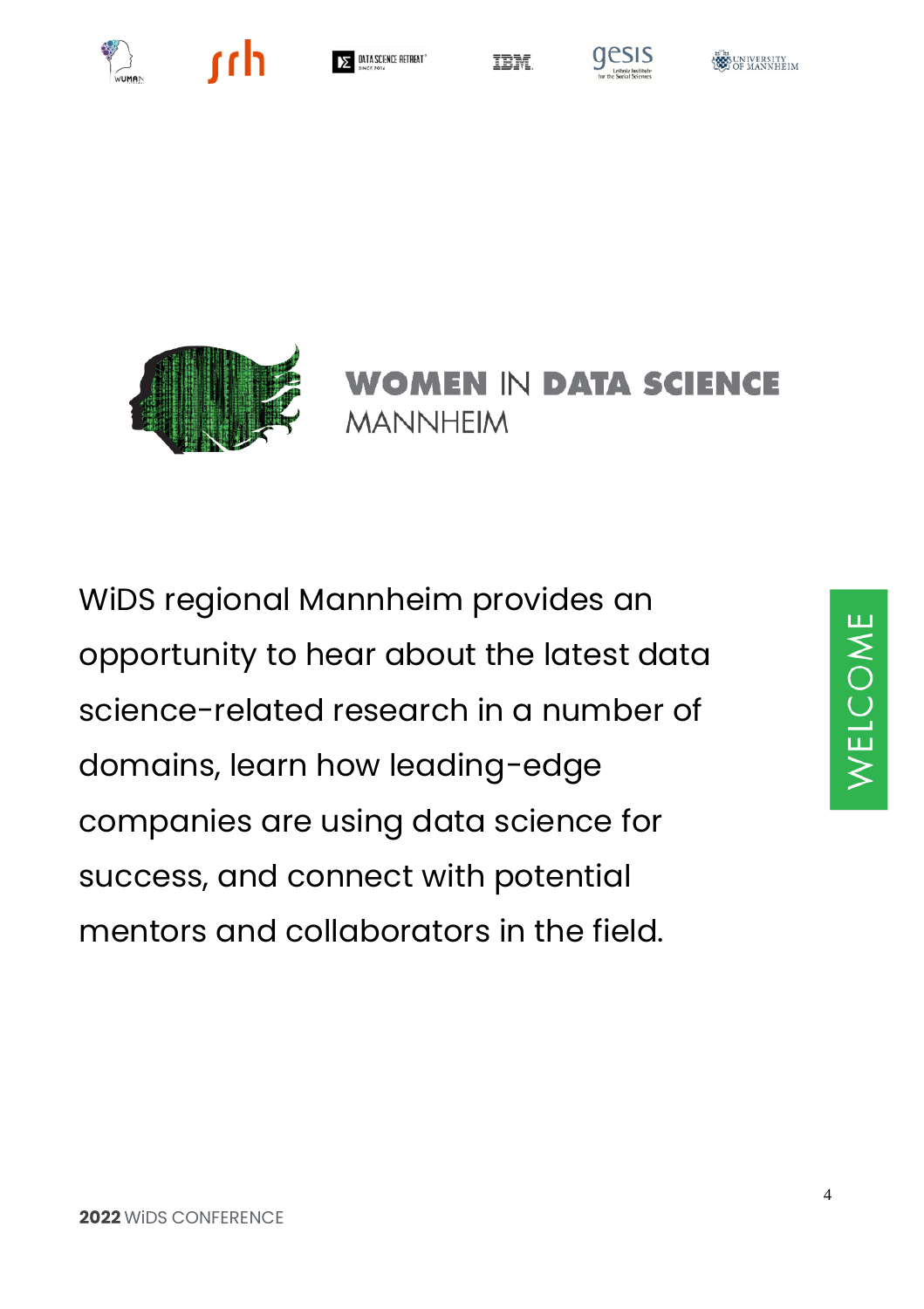





**IBM** 







**WOMEN IN DATA SCIENCE MANNHEIM** 

WiDS regional Mannheim provides an opportunity to hear about the latest data science-related research in a number of domains, learn how leading-edge companies are using data science for success, and connect with potential mentors and collaborators in the field.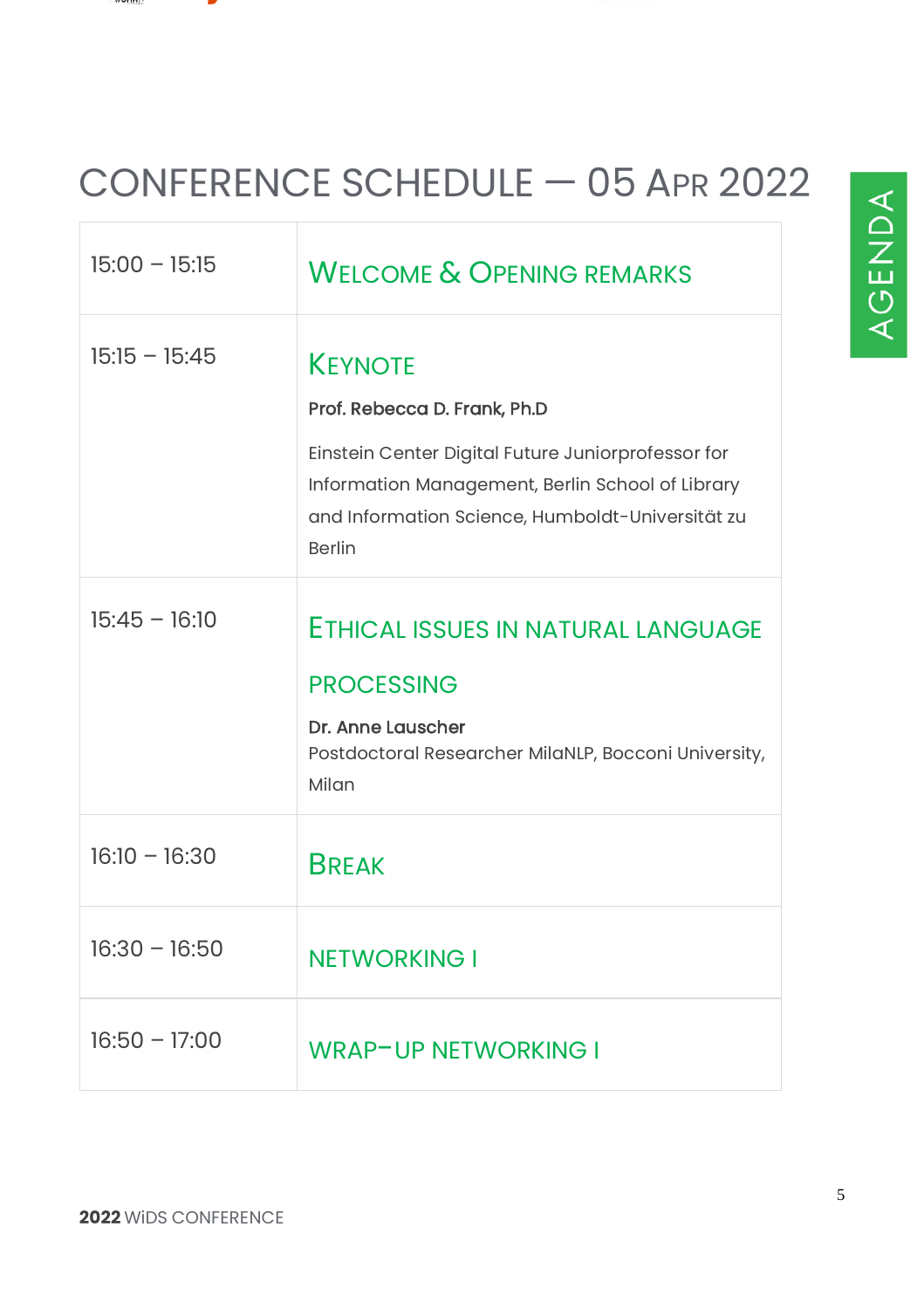#### ALL ARTISTS

Ē

# CONFERENCE SCHEDULE — 05 APR 2022

| $15:00 - 15:15$ | <b>WELCOME &amp; OPENING REMARKS</b>                                                                                                                                                                                          |
|-----------------|-------------------------------------------------------------------------------------------------------------------------------------------------------------------------------------------------------------------------------|
| $15:15 - 15:45$ | <b>KEYNOTE</b><br>Prof. Rebecca D. Frank, Ph.D<br>Einstein Center Digital Future Juniorprofessor for<br>Information Management, Berlin School of Library<br>and Information Science, Humboldt-Universität zu<br><b>Berlin</b> |
| $15:45 - 16:10$ | ETHICAL ISSUES IN NATURAL LANGUAGE<br><b>PROCESSING</b><br>Dr. Anne Lauscher<br>Postdoctoral Researcher MilaNLP, Bocconi University,<br>Milan                                                                                 |
| $16:10 - 16:30$ | <b>BREAK</b>                                                                                                                                                                                                                  |
| $16:30 - 16:50$ | <b>NETWORKING I</b>                                                                                                                                                                                                           |
| $16:50 - 17:00$ | <b>WRAP-UP NETWORKING I</b>                                                                                                                                                                                                   |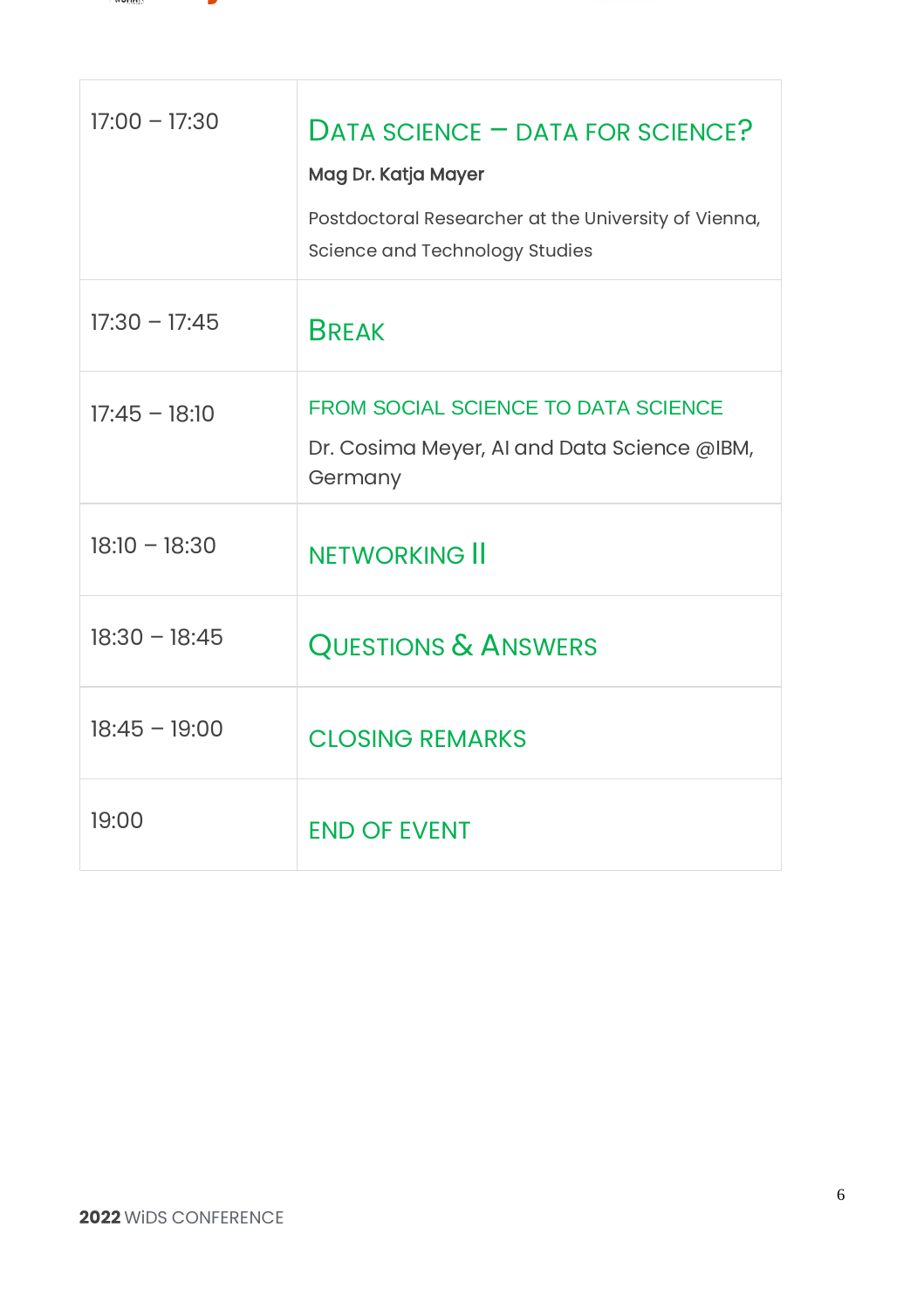

T.

| $17:00 - 17:30$ | $DATA$ SCIENCE $=$ DATA FOR SCIENCE?<br>Mag Dr. Katja Mayer<br>Postdoctoral Researcher at the University of Vienna,<br>Science and Technology Studies |
|-----------------|-------------------------------------------------------------------------------------------------------------------------------------------------------|
| $17:30 - 17:45$ | <b>BREAK</b>                                                                                                                                          |
| $17:45 - 18:10$ | <b>FROM SOCIAL SCIENCE TO DATA SCIENCE</b><br>Dr. Cosima Meyer, AI and Data Science @IBM,<br>Germany                                                  |
| $18:10 - 18:30$ | <b>NETWORKING II</b>                                                                                                                                  |
| $18:30 - 18:45$ | <b>QUESTIONS &amp; ANSWERS</b>                                                                                                                        |
| $18:45 - 19:00$ | <b>CLOSING REMARKS</b>                                                                                                                                |
| 19:00           | <b>END OF EVENT</b>                                                                                                                                   |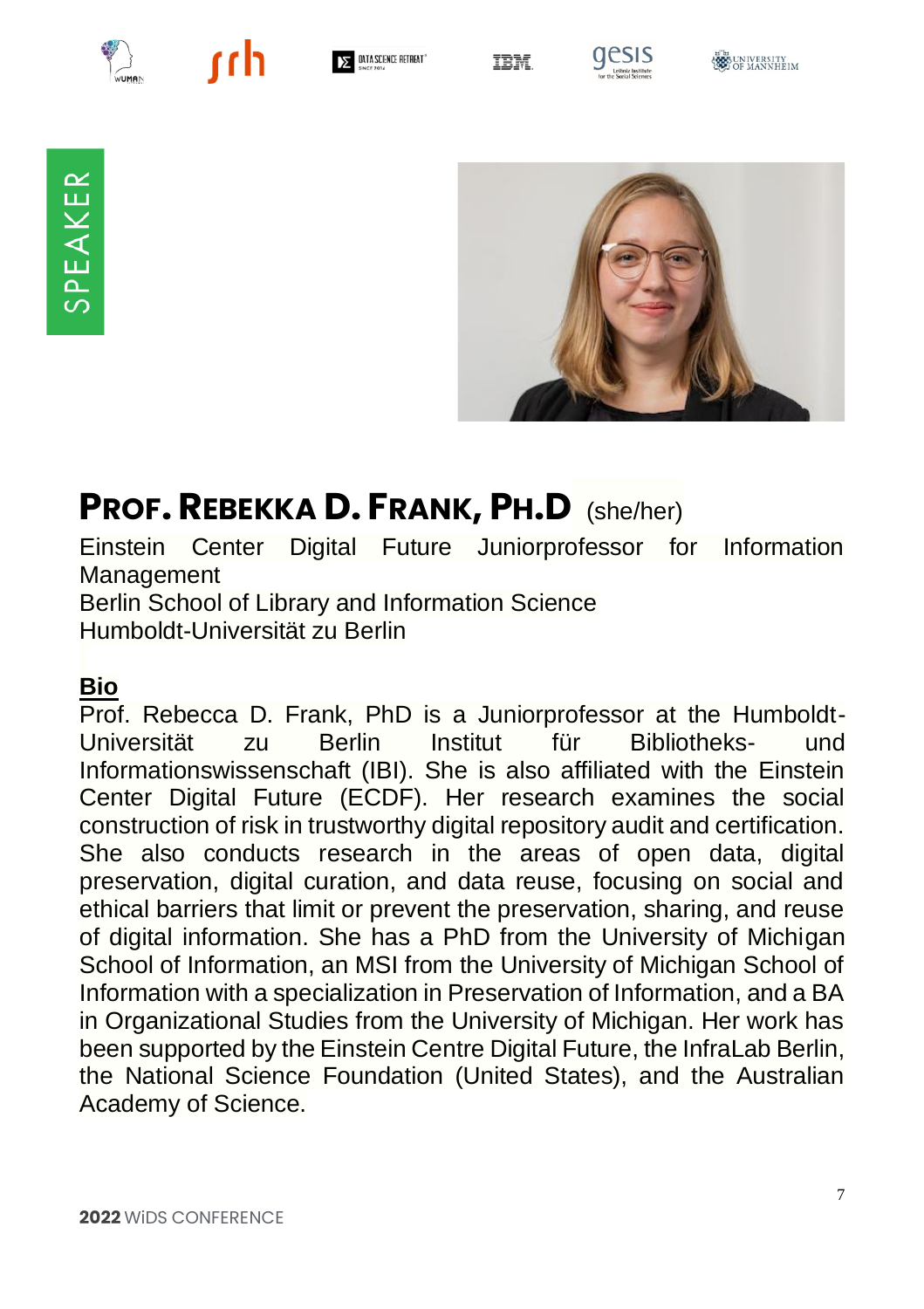



 $\Sigma$  data science retreat

**TRM** 



SPEAKER



## **PROF. REBEKKA D. FRANK, PH.D** (she/her)

Einstein Center Digital Future Juniorprofessor for Information Management Berlin School of Library and Information Science Humboldt-Universität zu Berlin

#### **Bio**

Prof. Rebecca D. Frank, PhD is a Juniorprofessor at the Humboldt-Universität zu Berlin Institut für Bibliotheks- und Informationswissenschaft (IBI). She is also affiliated with the Einstein Center Digital Future (ECDF). Her research examines the social construction of risk in trustworthy digital repository audit and certification. She also conducts research in the areas of open data, digital preservation, digital curation, and data reuse, focusing on social and ethical barriers that limit or prevent the preservation, sharing, and reuse of digital information. She has a PhD from the University of Michigan School of Information, an MSI from the University of Michigan School of Information with a specialization in Preservation of Information, and a BA in Organizational Studies from the University of Michigan. Her work has been supported by the Einstein Centre Digital Future, the InfraLab Berlin, the National Science Foundation (United States), and the Australian Academy of Science.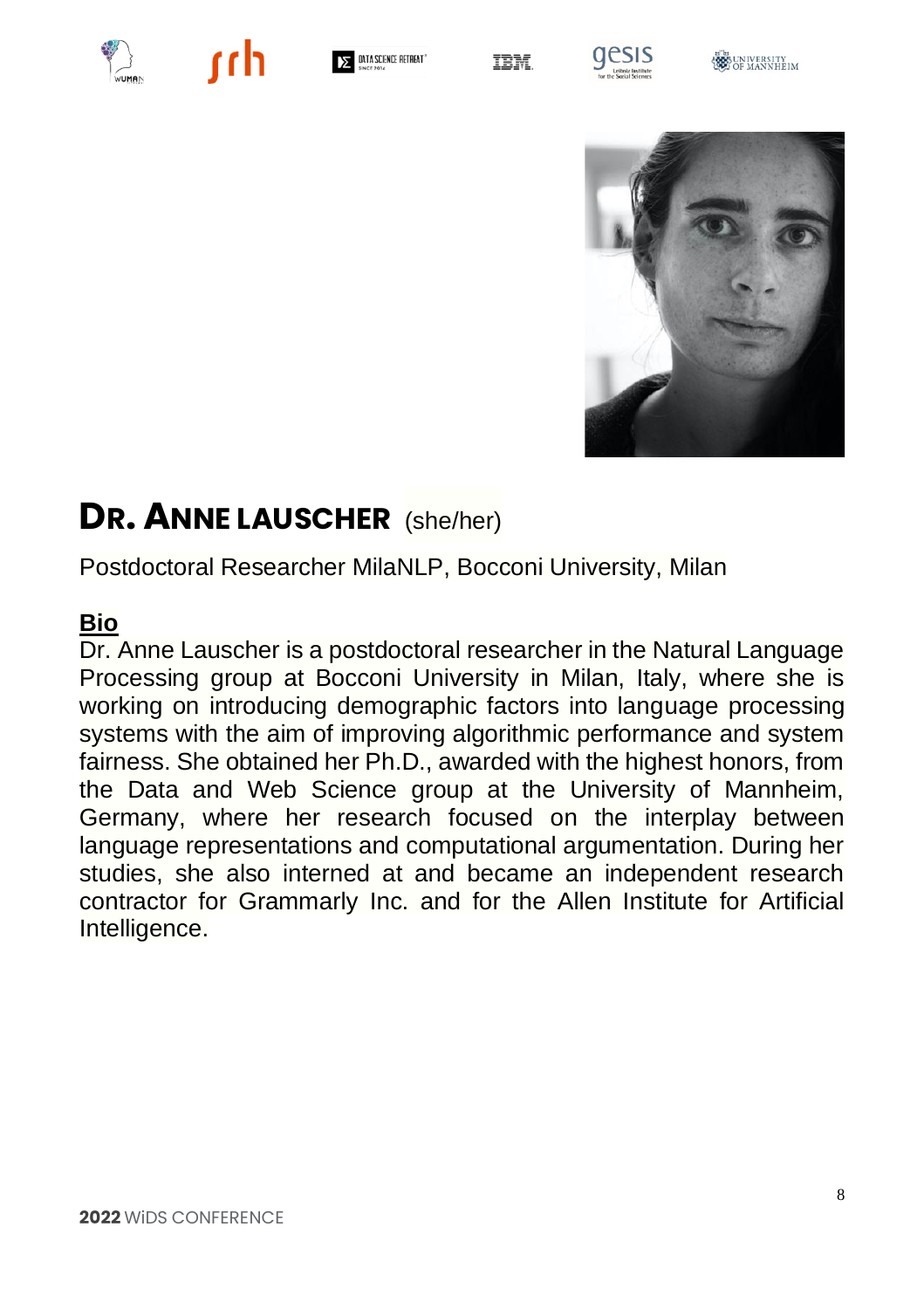



DATA SCIENCE RETREAT"





**BELLIVERSITY** 



### **DR. ANNE LAUSCHER** (she/her)

Postdoctoral Researcher MilaNLP, Bocconi University, Milan

### **Bio**

Dr. Anne Lauscher is a postdoctoral researcher in the Natural Language Processing group at Bocconi University in Milan, Italy, where she is working on introducing demographic factors into language processing systems with the aim of improving algorithmic performance and system fairness. She obtained her Ph.D., awarded with the highest honors, from the Data and Web Science group at the University of Mannheim, Germany, where her research focused on the interplay between language representations and computational argumentation. During her studies, she also interned at and became an independent research contractor for Grammarly Inc. and for the Allen Institute for Artificial Intelligence.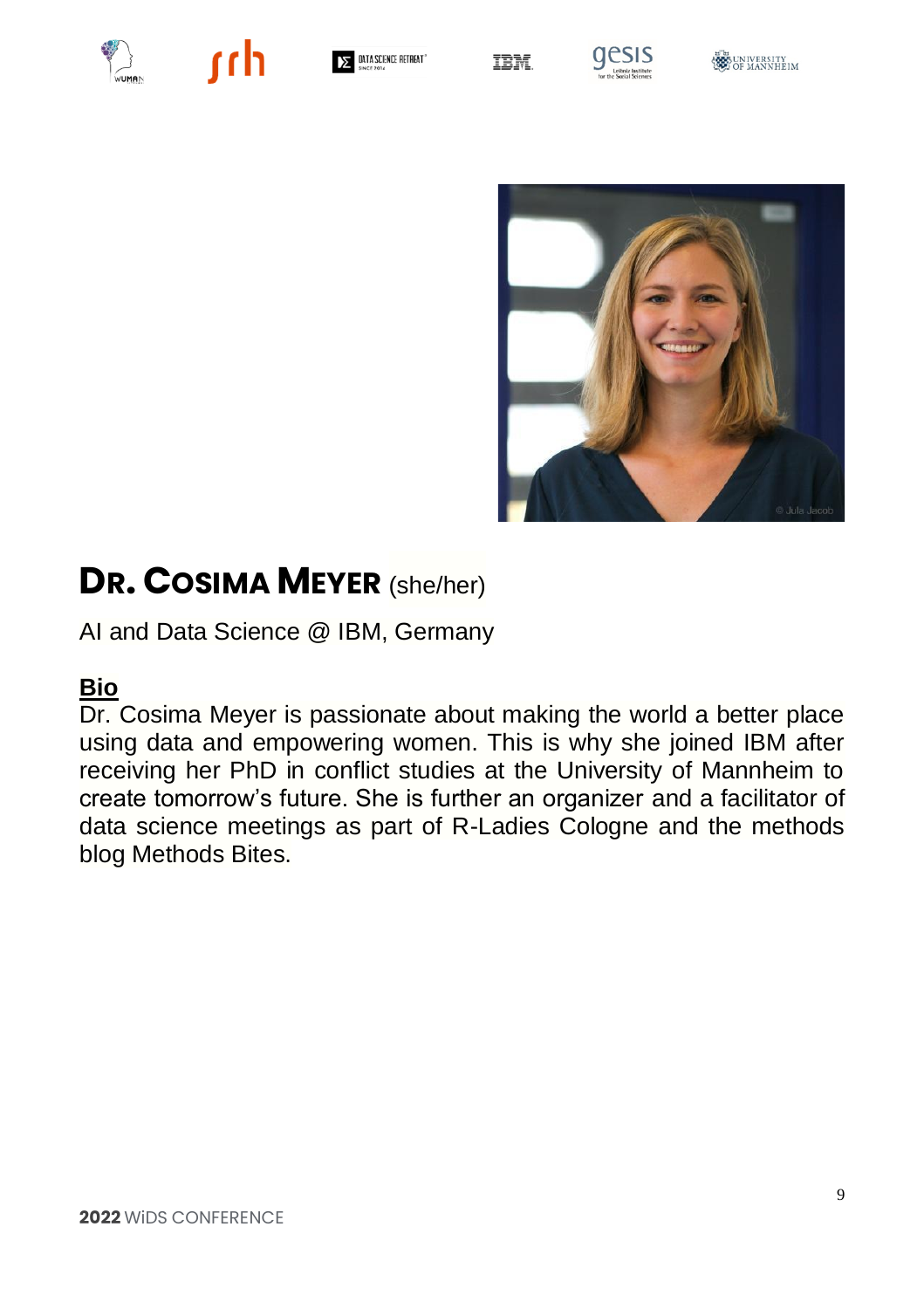



 $\Sigma$  data science retreat

**IBM** 







### **DR. COSIMA MEYER** (she/her)

AI and Data Science @ IBM, Germany

#### **Bio**

Dr. Cosima Meyer is passionate about making the world a better place using data and empowering women. This is why she joined IBM after receiving her PhD in conflict studies at the University of Mannheim to create tomorrow's future. She is further an organizer and a facilitator of data science meetings as part of R-Ladies Cologne and the methods blog Methods Bites.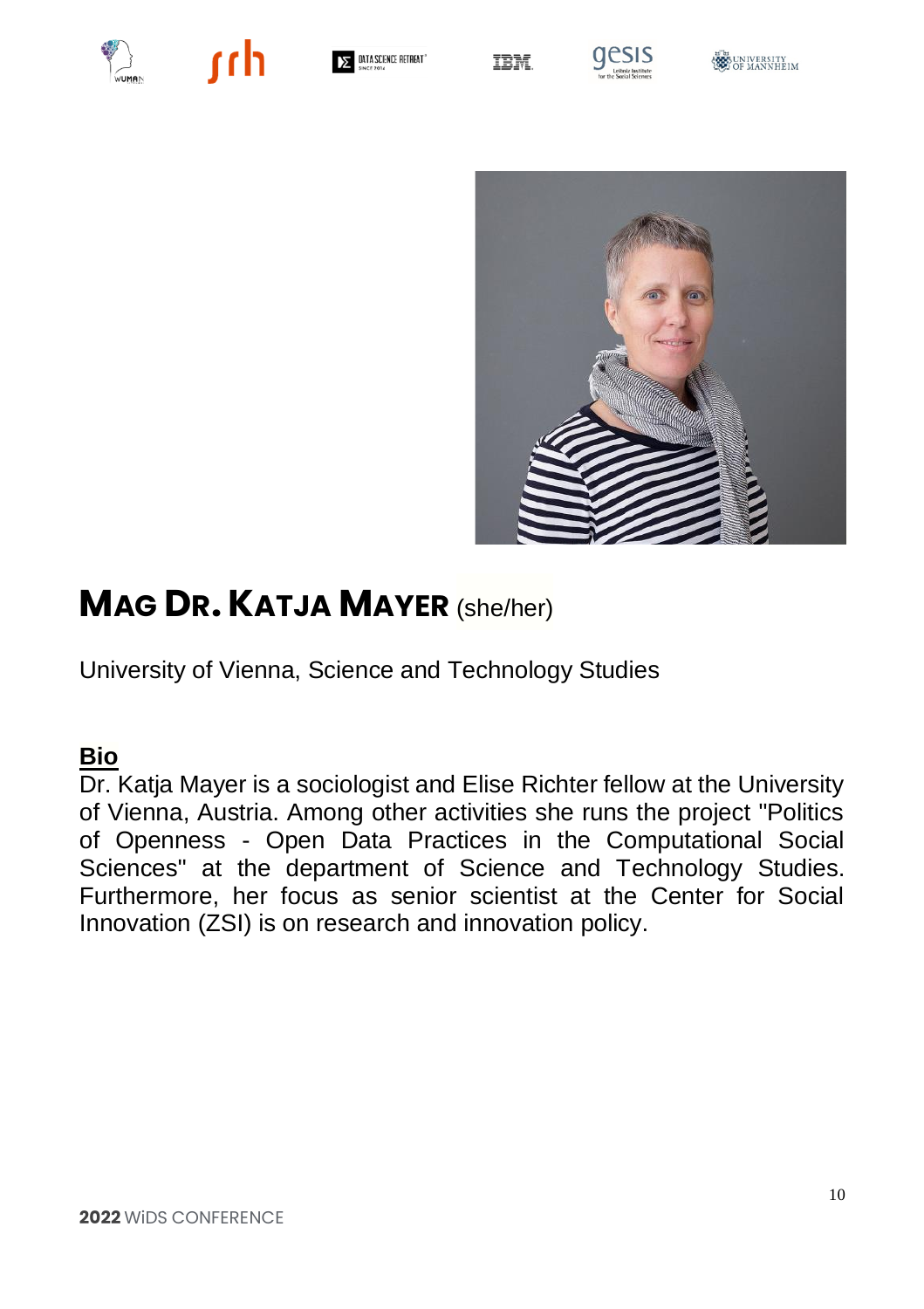



DATA SCIENCE RETREAT"

IBM







### **MAG DR.KATJA MAYER** (she/her)

University of Vienna, Science and Technology Studies

#### **Bio**

Dr. Katja Mayer is a sociologist and Elise Richter fellow at the University of Vienna, Austria. Among other activities she runs the project "Politics of Openness - Open Data Practices in the Computational Social Sciences" at the department of Science and Technology Studies. Furthermore, her focus as senior scientist at the Center for Social Innovation (ZSI) is on research and innovation policy.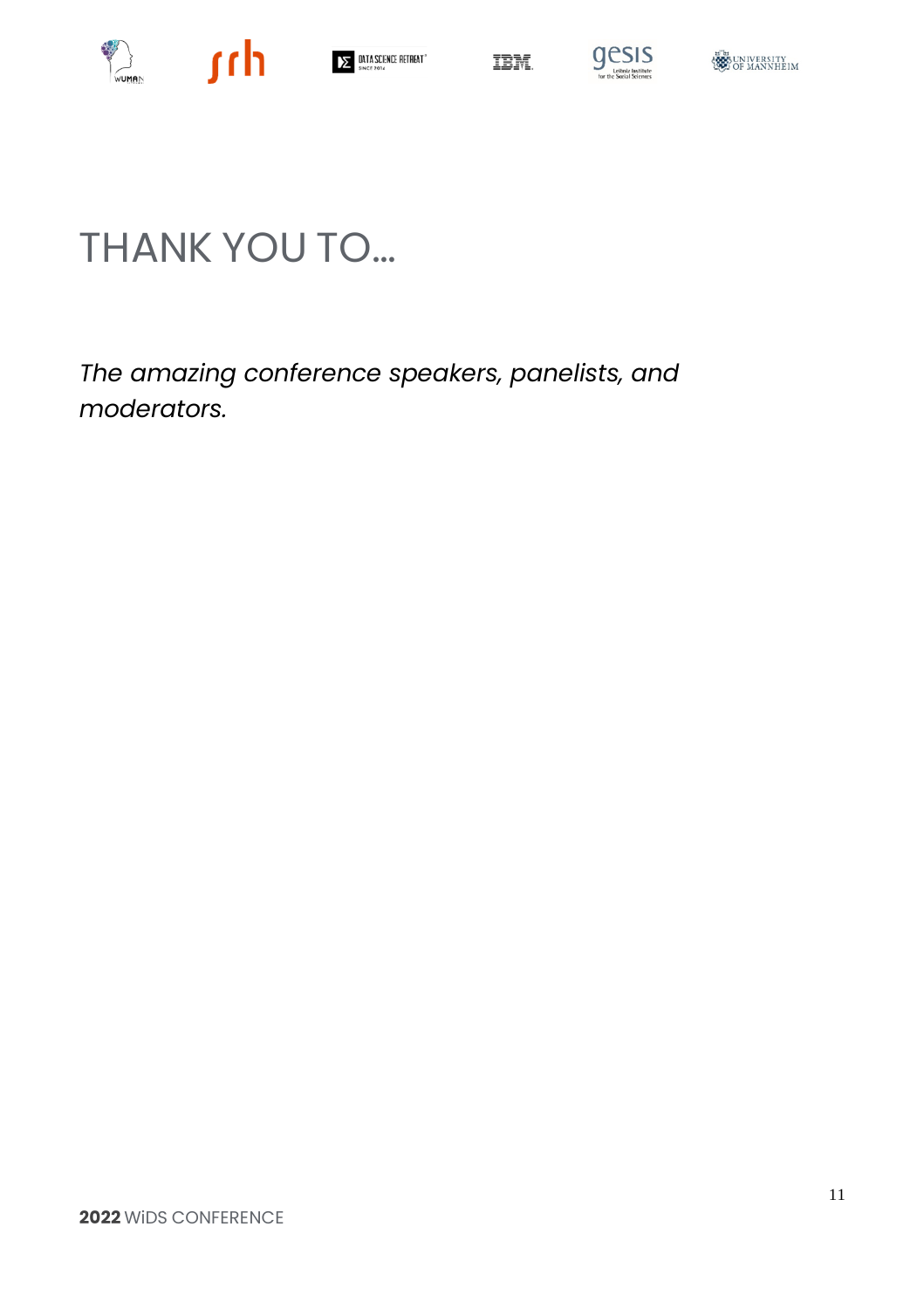



# THANK YOU TO…

*The amazing conference speakers, panelists, and moderators.*